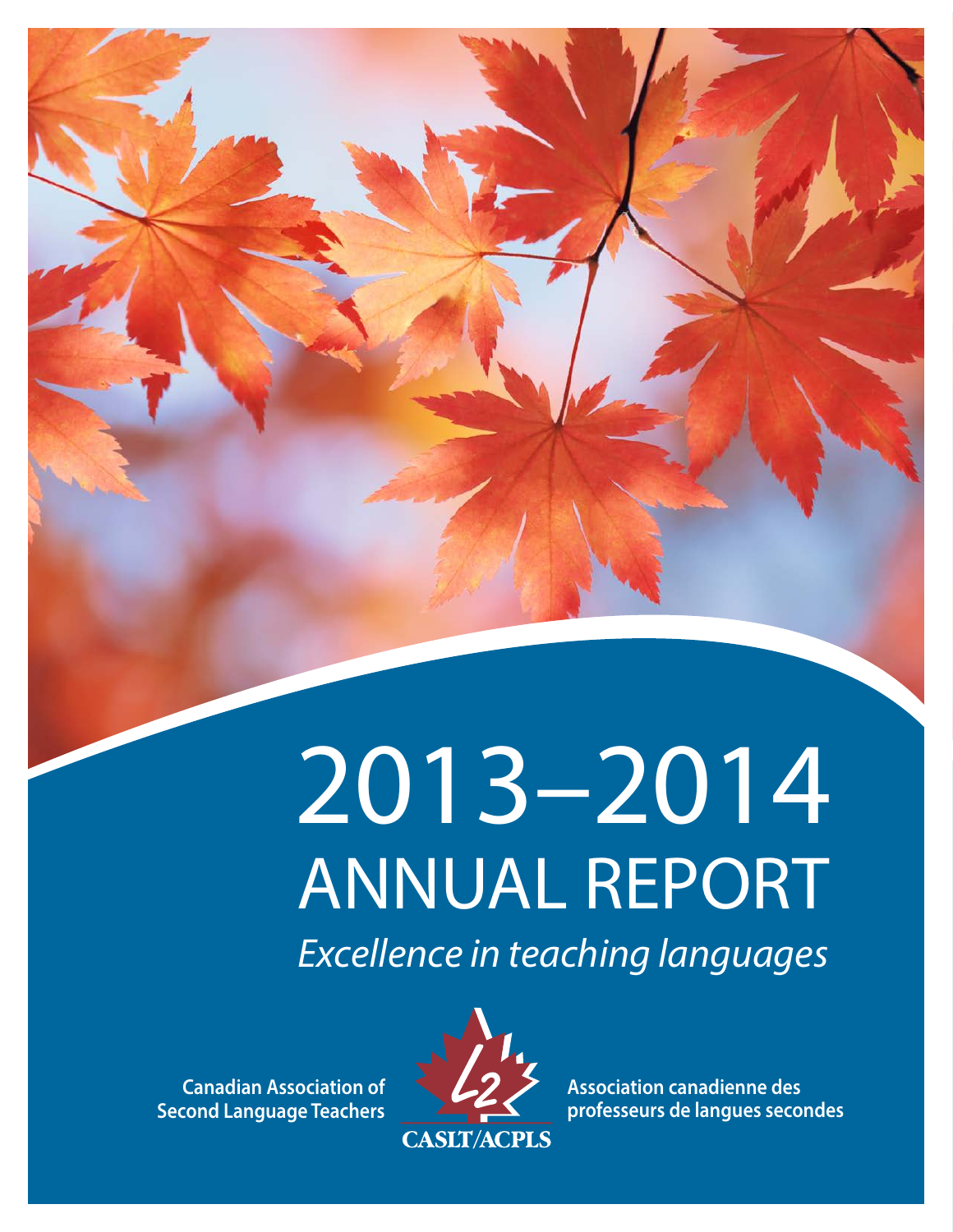# 2013–2014 ANNUAL REPORT

*Excellence in teaching languages* 

**Canadian Association of Second Language Teachers**



**Association canadienne des professeurs de langues secondes**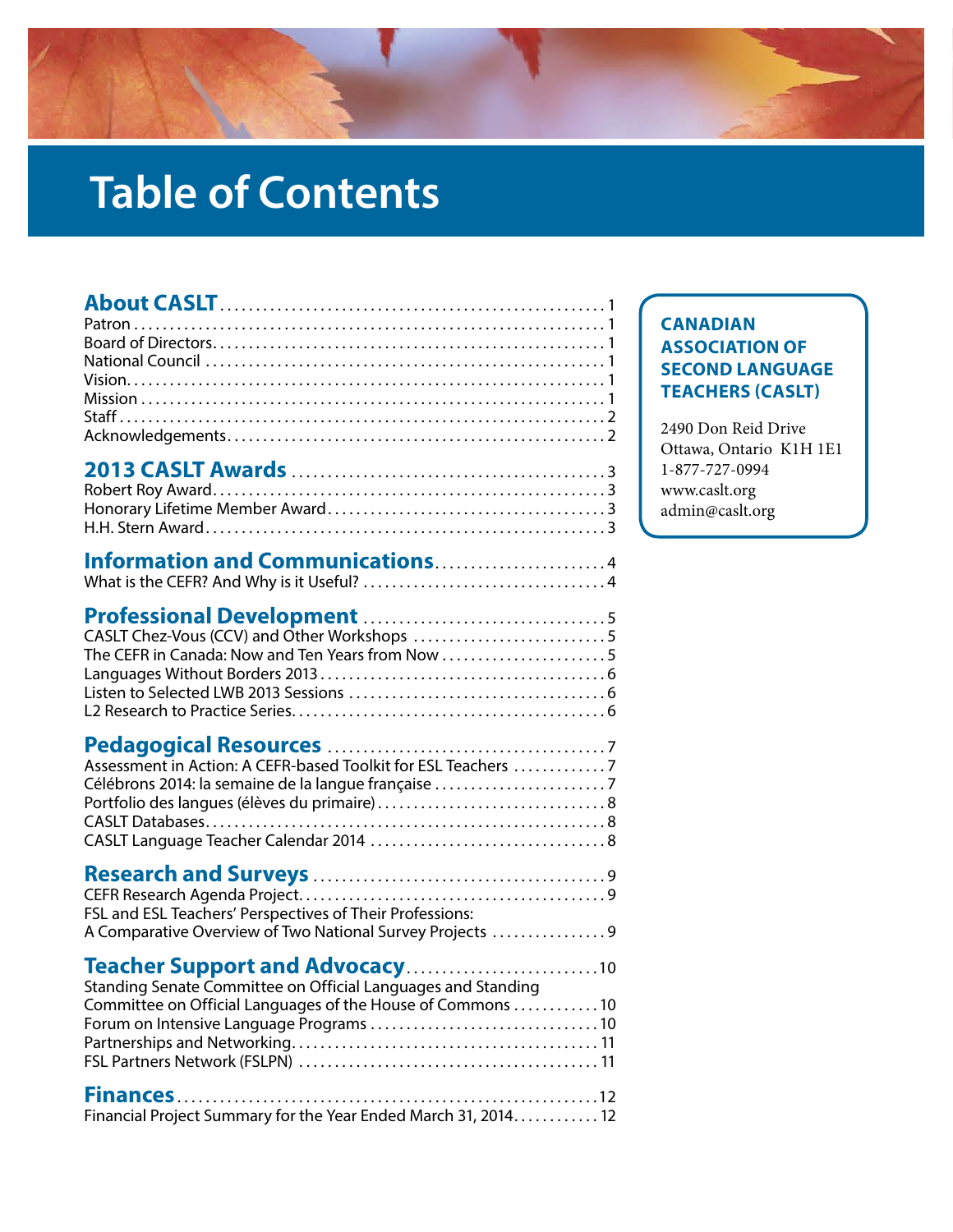# **Table of Contents**

| The CEFR in Canada: Now and Ten Years from Now 5                                                                                                              |  |
|---------------------------------------------------------------------------------------------------------------------------------------------------------------|--|
| Assessment in Action: A CEFR-based Toolkit for ESL Teachers  7<br>Célébrons 2014: la semaine de la langue française                                           |  |
| FSL and ESL Teachers' Perspectives of Their Professions:<br>A Comparative Overview of Two National Survey Projects  9                                         |  |
| Teacher Support and Advocacy10<br>Standing Senate Committee on Official Languages and Standing<br>Committee on Official Languages of the House of Commons  10 |  |
| <b>Finances</b><br>. 12<br>Financial Project Summary for the Year Ended March 31, 2014. 12                                                                    |  |

#### **CANADIAN ASSOCIATION OF SECOND LANGUAGE TEACHERS (CASLT)**

2490 Don Reid Drive Ottawa, Ontario K1H 1E1 1-877-727-0994 www.caslt.org admin@caslt.org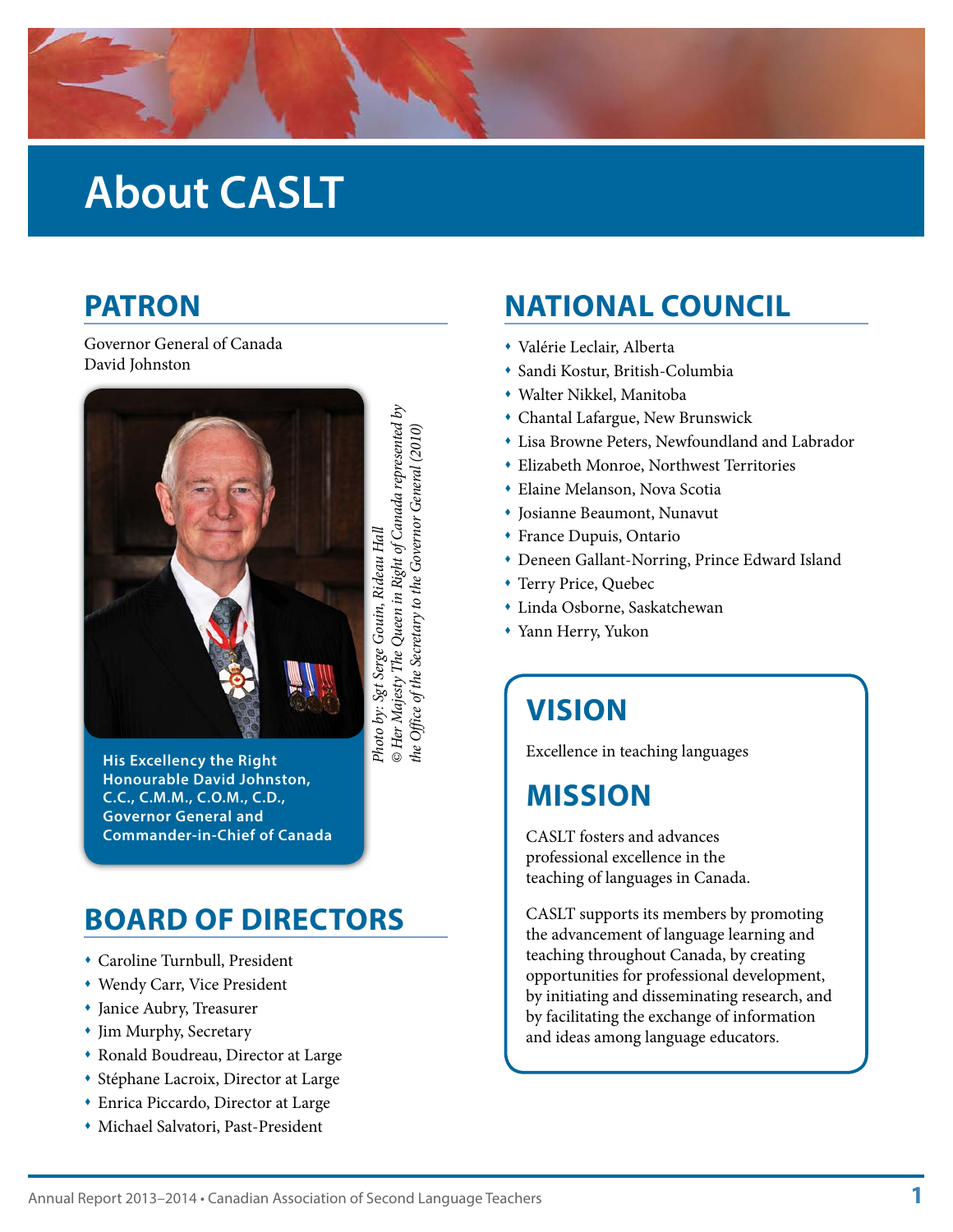<span id="page-2-0"></span>

### **About CASLT**

#### **PATRON**

#### Governor General of Canada David Johnston



*© Her Majesty The Queen in Right of Canada represented by*  Photo by: Sgt Serge Gouin, Rideau Hall<br>© Her Majesty The Queen in Right of Canada represented by the Office of the Secretary to the Governor General (2010) *the Office of the Secretary to the Governor General (2010)Photo by: Sgt Serge Gouin, Rideau Hall*

**His Excellency the Right Honourable David Johnston, C.C., C.M.M., C.O.M., C.D., Governor General and Commander-in-Chief of Canada**

### **BOARD OF DIRECTORS**

- Caroline Turnbull, President
- Wendy Carr, Vice President
- Janice Aubry, Treasurer
- Jim Murphy, Secretary
- Ronald Boudreau, Director at Large
- Stéphane Lacroix, Director at Large
- Enrica Piccardo, Director at Large
- Michael Salvatori, Past-President

#### **NATIONAL COUNCIL**

- Valérie Leclair, Alberta
- Sandi Kostur, British-Columbia
- Walter Nikkel, Manitoba
- Chantal Lafargue, New Brunswick
- Lisa Browne Peters, Newfoundland and Labrador
- Elizabeth Monroe, Northwest Territories
- Elaine Melanson, Nova Scotia
- Josianne Beaumont, Nunavut
- France Dupuis, Ontario
- Deneen Gallant-Norring, Prince Edward Island
- Terry Price, Quebec
- Linda Osborne, Saskatchewan
- Yann Herry, Yukon

#### **VISION**

Excellence in teaching languages

#### **MISSION**

CASLT fosters and advances professional excellence in the teaching of languages in Canada.

CASLT supports its members by promoting the advancement of language learning and teaching throughout Canada, by creating opportunities for professional development, by initiating and disseminating research, and by facilitating the exchange of information and ideas among language educators.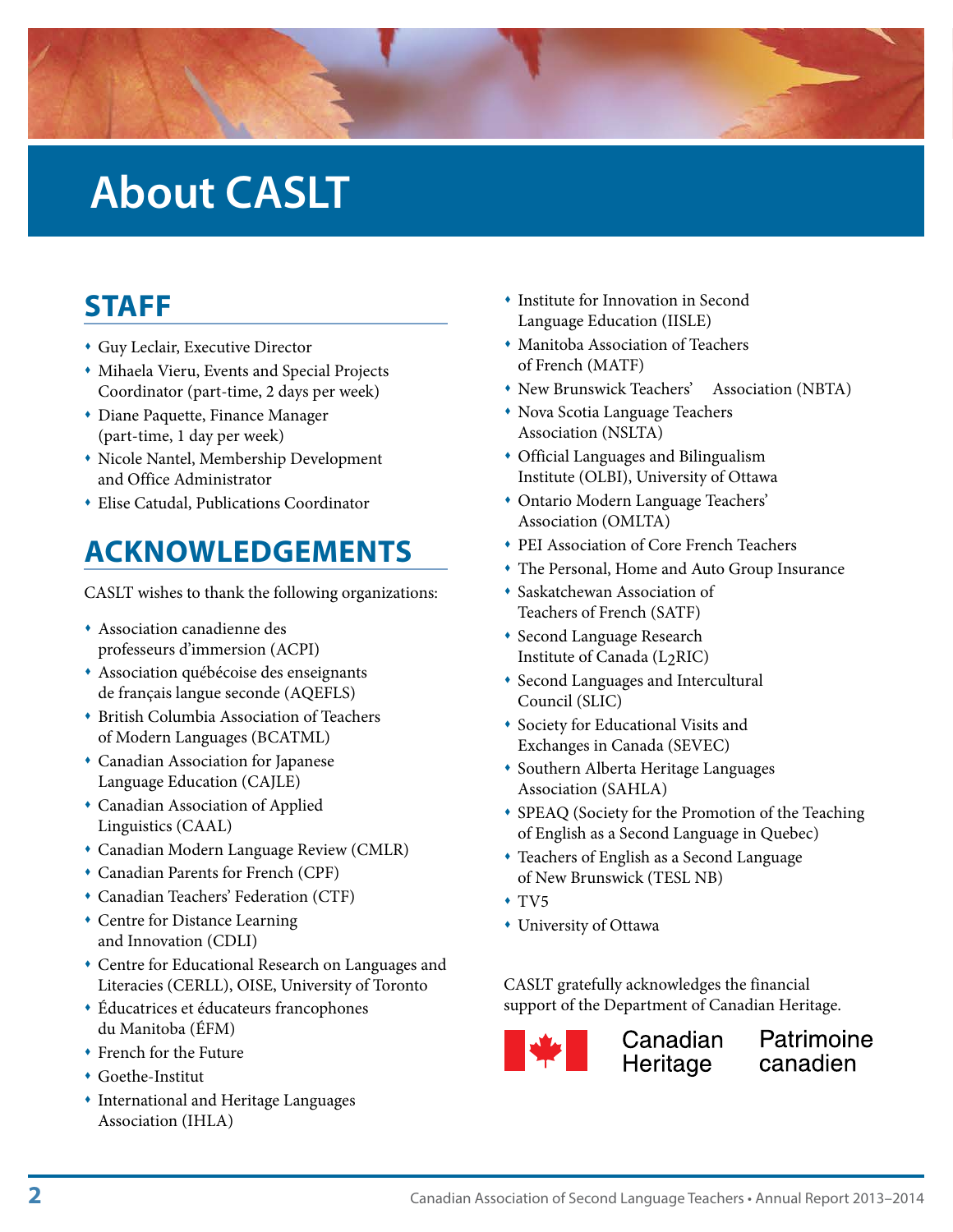<span id="page-3-0"></span>

### **About CASLT**

#### **STAFF**

- Guy Leclair, Executive Director
- Mihaela Vieru, Events and Special Projects Coordinator (part-time, 2 days per week)
- Diane Paquette, Finance Manager (part-time, 1 day per week)
- Nicole Nantel, Membership Development and Office Administrator
- Elise Catudal, Publications Coordinator

### **ACKNOWLEDGEMENTS**

CASLT wishes to thank the following organizations:

- Association canadienne des professeurs d'immersion (ACPI)
- Association québécoise des enseignants de français langue seconde (AQEFLS)
- British Columbia Association of Teachers of Modern Languages (BCATML)
- Canadian Association for Japanese Language Education (CAJLE)
- Canadian Association of Applied Linguistics (CAAL)
- Canadian Modern Language Review (CMLR)
- Canadian Parents for French (CPF)
- Canadian Teachers' Federation (CTF)
- Centre for Distance Learning and Innovation (CDLI)
- Centre for Educational Research on Languages and Literacies (CERLL), OISE, University of Toronto
- Éducatrices et éducateurs francophones du Manitoba (ÉFM)
- French for the Future
- Goethe-Institut
- International and Heritage Languages Association (IHLA)
- **\*** Institute for Innovation in Second Language Education (IISLE)
- Manitoba Association of Teachers of French (MATF)
- New Brunswick Teachers' Association (NBTA)
- Nova Scotia Language Teachers Association (NSLTA)
- Official Languages and Bilingualism Institute (OLBI), University of Ottawa
- Ontario Modern Language Teachers' Association (OMLTA)
- PEI Association of Core French Teachers
- The Personal, Home and Auto Group Insurance
- Saskatchewan Association of Teachers of French (SATF)
- **\*** Second Language Research Institute of Canada (L2RIC)
- Second Languages and Intercultural Council (SLIC)
- Society for Educational Visits and Exchanges in Canada (SEVEC)
- Southern Alberta Heritage Languages Association (SAHLA)
- SPEAQ (Society for the Promotion of the Teaching of English as a Second Language in Quebec)
- Teachers of English as a Second Language of New Brunswick (TESL NB)
- $+ TV5$
- University of Ottawa

CASLT gratefully acknowledges the financial support of the Department of Canadian Heritage.



**Demandian**<br>**Demandian**<br>Heritage

Patrimoine canadien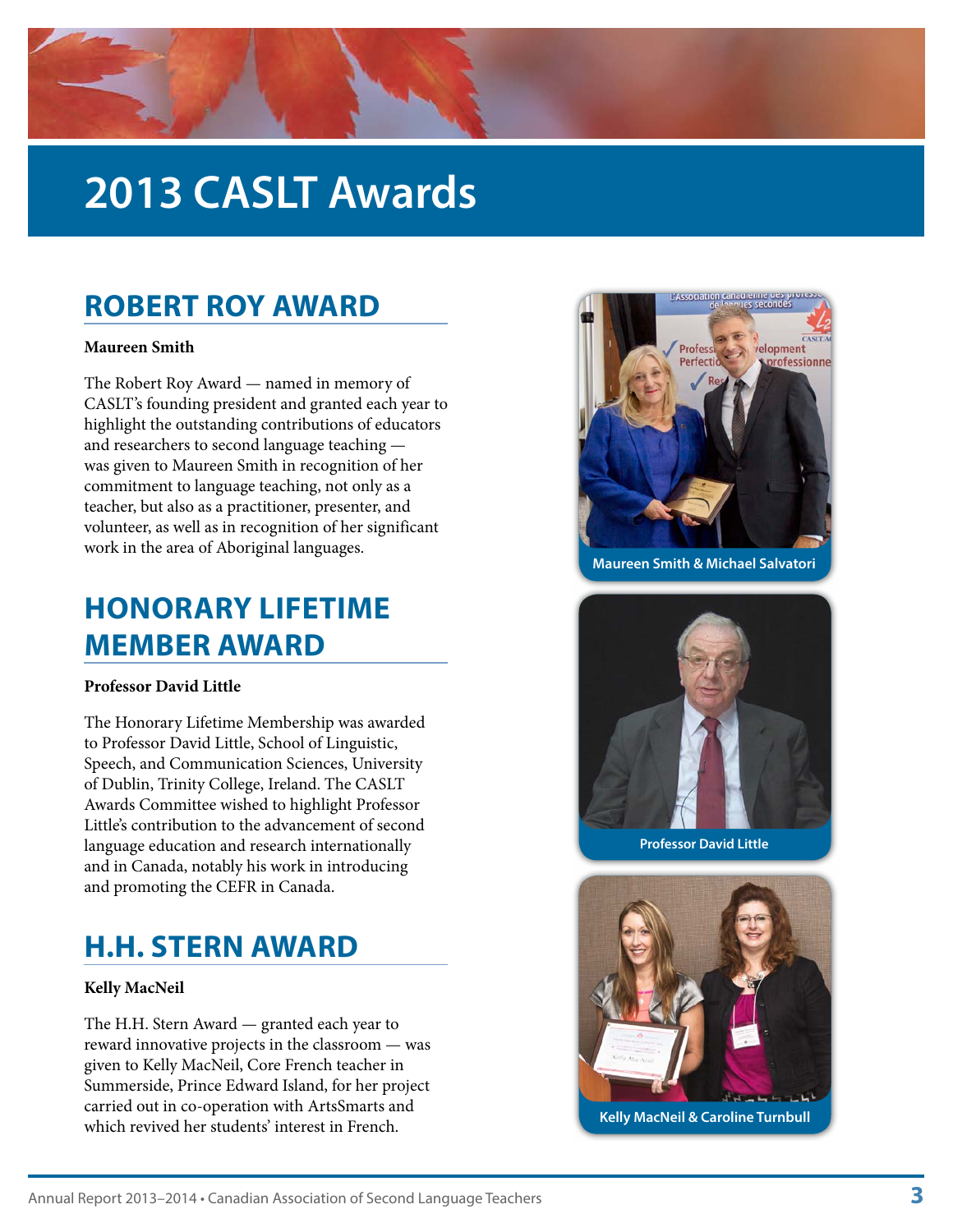# <span id="page-4-0"></span>**2013 CASLT Awards**

#### **ROBERT ROY AWARD**

#### **Maureen Smith**

The Robert Roy Award — named in memory of CASLT's founding president and granted each year to highlight the outstanding contributions of educators and researchers to second language teaching was given to Maureen Smith in recognition of her commitment to language teaching, not only as a teacher, but also as a practitioner, presenter, and volunteer, as well as in recognition of her significant work in the area of Aboriginal languages.

### **HONORARY LIFETIME MEMBER AWARD**

#### **Professor David Little**

The Honorary Lifetime Membership was awarded to Professor David Little, School of Linguistic, Speech, and Communication Sciences, University of Dublin, Trinity College, Ireland. The CASLT Awards Committee wished to highlight Professor Little's contribution to the advancement of second language education and research internationally and in Canada, notably his work in introducing and promoting the CEFR in Canada.

#### **H.H. STERN AWARD**

#### **Kelly MacNeil**

The H.H. Stern Award — granted each year to reward innovative projects in the classroom — was given to Kelly MacNeil, Core French teacher in Summerside, Prince Edward Island, for her project carried out in co-operation with ArtsSmarts and which revived her students' interest in French. **Kelly MacNeil & Caroline Turnbull** which revived her students' interest in French.



**Maureen Smith & Michael Salvatori**



**Professor David Little**

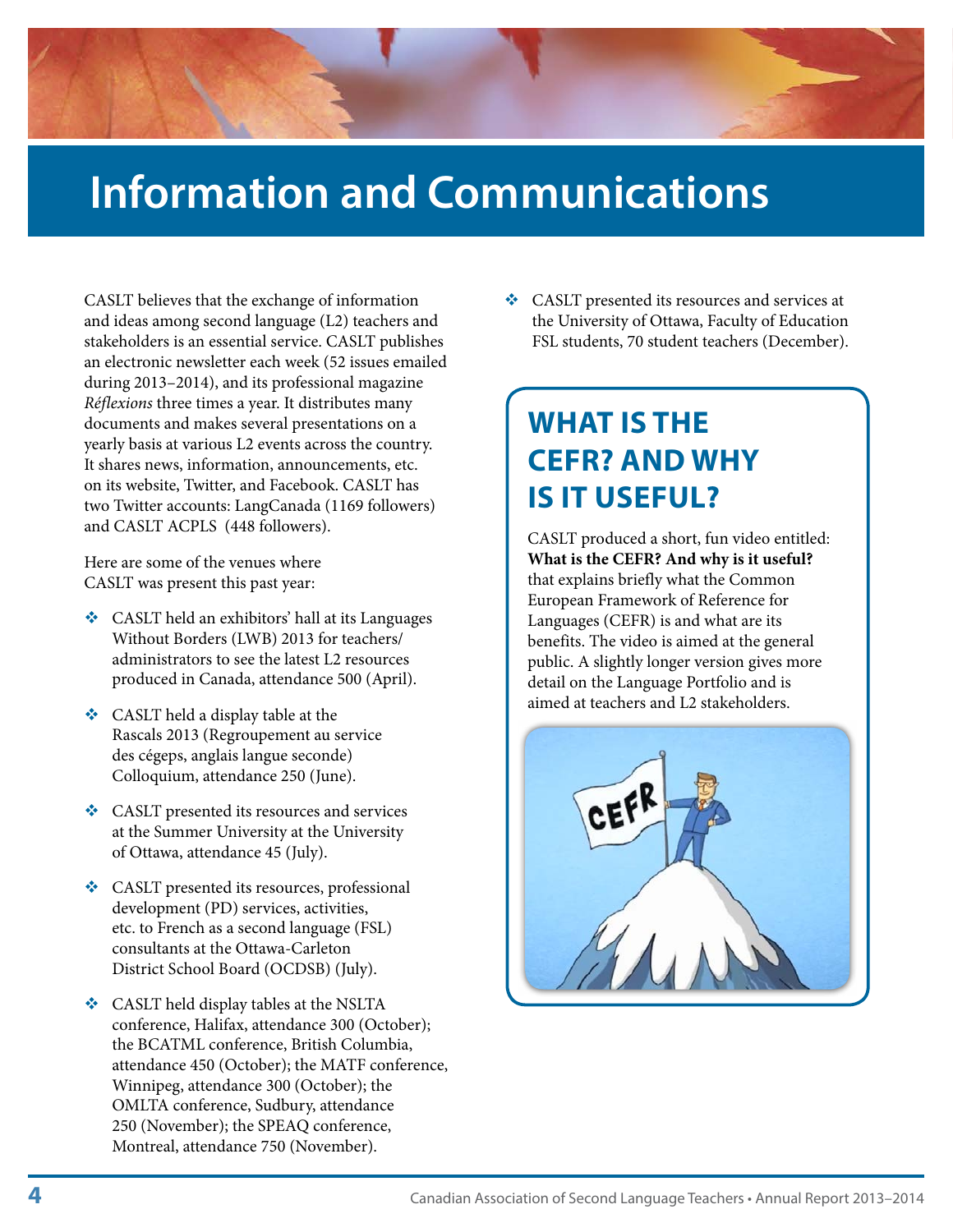# <span id="page-5-0"></span>**Information and Communications**

CASLT believes that the exchange of information and ideas among second language (L2) teachers and stakeholders is an essential service. CASLT publishes an electronic newsletter each week (52 issues emailed during 2013–2014), and its professional magazine *Réflexions* three times a year. It distributes many documents and makes several presentations on a yearly basis at various L2 events across the country. It shares news, information, announcements, etc. on its website, Twitter, and Facebook. CASLT has two Twitter accounts: LangCanada (1169 followers) and CASLT ACPLS (448 followers).

Here are some of the venues where CASLT was present this past year:

- CASLT held an exhibitors' hall at its Languages Without Borders (LWB) 2013 for teachers/ administrators to see the latest L2 resources produced in Canada, attendance 500 (April).
- $\triangleleft$  CASLT held a display table at the Rascals 2013 (Regroupement au service des cégeps, anglais langue seconde) Colloquium, attendance 250 (June).
- **❖** CASLT presented its resources and services at the Summer University at the University of Ottawa, attendance 45 (July).
- CASLT presented its resources, professional development (PD) services, activities, etc. to French as a second language (FSL) consultants at the Ottawa-Carleton District School Board (OCDSB) (July).
- ◆ CASLT held display tables at the NSLTA conference, Halifax, attendance 300 (October); the BCATML conference, British Columbia, attendance 450 (October); the MATF conference, Winnipeg, attendance 300 (October); the OMLTA conference, Sudbury, attendance 250 (November); the SPEAQ conference, Montreal, attendance 750 (November).

 CASLT presented its resources and services at the University of Ottawa, Faculty of Education FSL students, 70 student teachers (December).

### **WHAT IS THE CEFR? AND WHY IS IT USEFUL?**

CASLT produced a short, fun video entitled: **What is the CEFR? And why is it useful?** that explains briefly what the Common European Framework of Reference for Languages (CEFR) is and what are its benefits. The video is aimed at the general public. A slightly longer version gives more detail on the Language Portfolio and is aimed at teachers and L2 stakeholders.

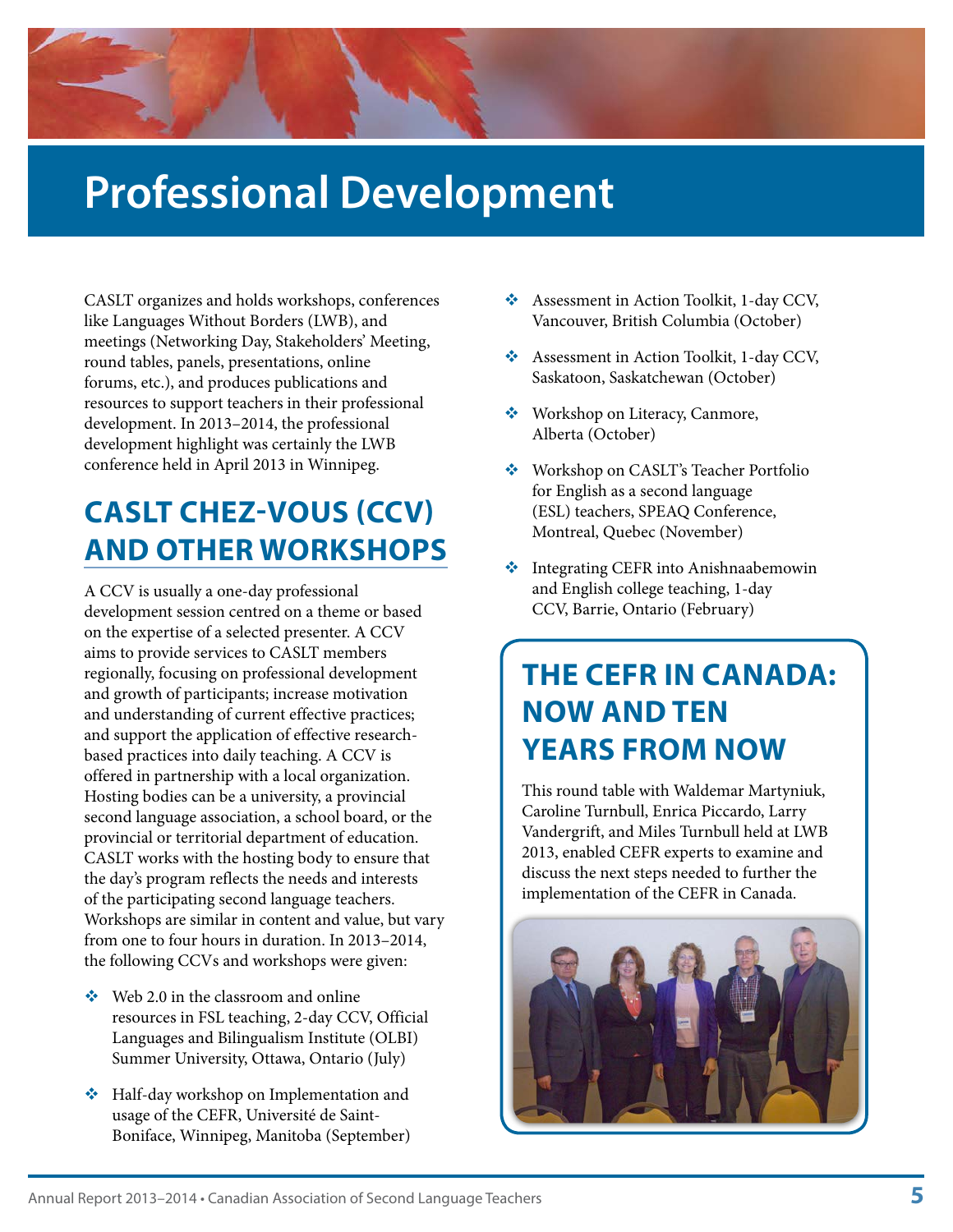### <span id="page-6-0"></span>**Professional Development**

CASLT organizes and holds workshops, conferences like Languages Without Borders (LWB), and meetings (Networking Day, Stakeholders' Meeting, round tables, panels, presentations, online forums, etc.), and produces publications and resources to support teachers in their professional development. In 2013–2014, the professional development highlight was certainly the LWB conference held in April 2013 in Winnipeg.

### **CASLT CHEZ-VOUS (CCV) AND OTHER WORKSHOPS**

A CCV is usually a one-day professional development session centred on a theme or based on the expertise of a selected presenter. A CCV aims to provide services to CASLT members regionally, focusing on professional development and growth of participants; increase motivation and understanding of current effective practices; and support the application of effective researchbased practices into daily teaching. A CCV is offered in partnership with a local organization. Hosting bodies can be a university, a provincial second language association, a school board, or the provincial or territorial department of education. CASLT works with the hosting body to ensure that the day's program reflects the needs and interests of the participating second language teachers. Workshops are similar in content and value, but vary from one to four hours in duration. In 2013–2014, the following CCVs and workshops were given:

- $\div$  Web 2.0 in the classroom and online resources in FSL teaching, 2-day CCV, Official Languages and Bilingualism Institute (OLBI) Summer University, Ottawa, Ontario (July)
- Half-day workshop on Implementation and usage of the CEFR, Université de Saint-Boniface, Winnipeg, Manitoba (September)
- Assessment in Action Toolkit, 1-day CCV, Vancouver, British Columbia (October)
- Assessment in Action Toolkit, 1-day CCV, Saskatoon, Saskatchewan (October)
- ◆ Workshop on Literacy, Canmore, Alberta (October)
- ◆ Workshop on CASLT's Teacher Portfolio for English as a second language (ESL) teachers, SPEAQ Conference, Montreal, Quebec (November)
- **Integrating CEFR into Anishnaabemowin** and English college teaching, 1-day CCV, Barrie, Ontario (February)

### **THE CEFR IN CANADA: NOW AND TEN YEARS FROM NOW**

This round table with Waldemar Martyniuk, Caroline Turnbull, Enrica Piccardo, Larry Vandergrift, and Miles Turnbull held at LWB 2013, enabled CEFR experts to examine and discuss the next steps needed to further the implementation of the CEFR in Canada.

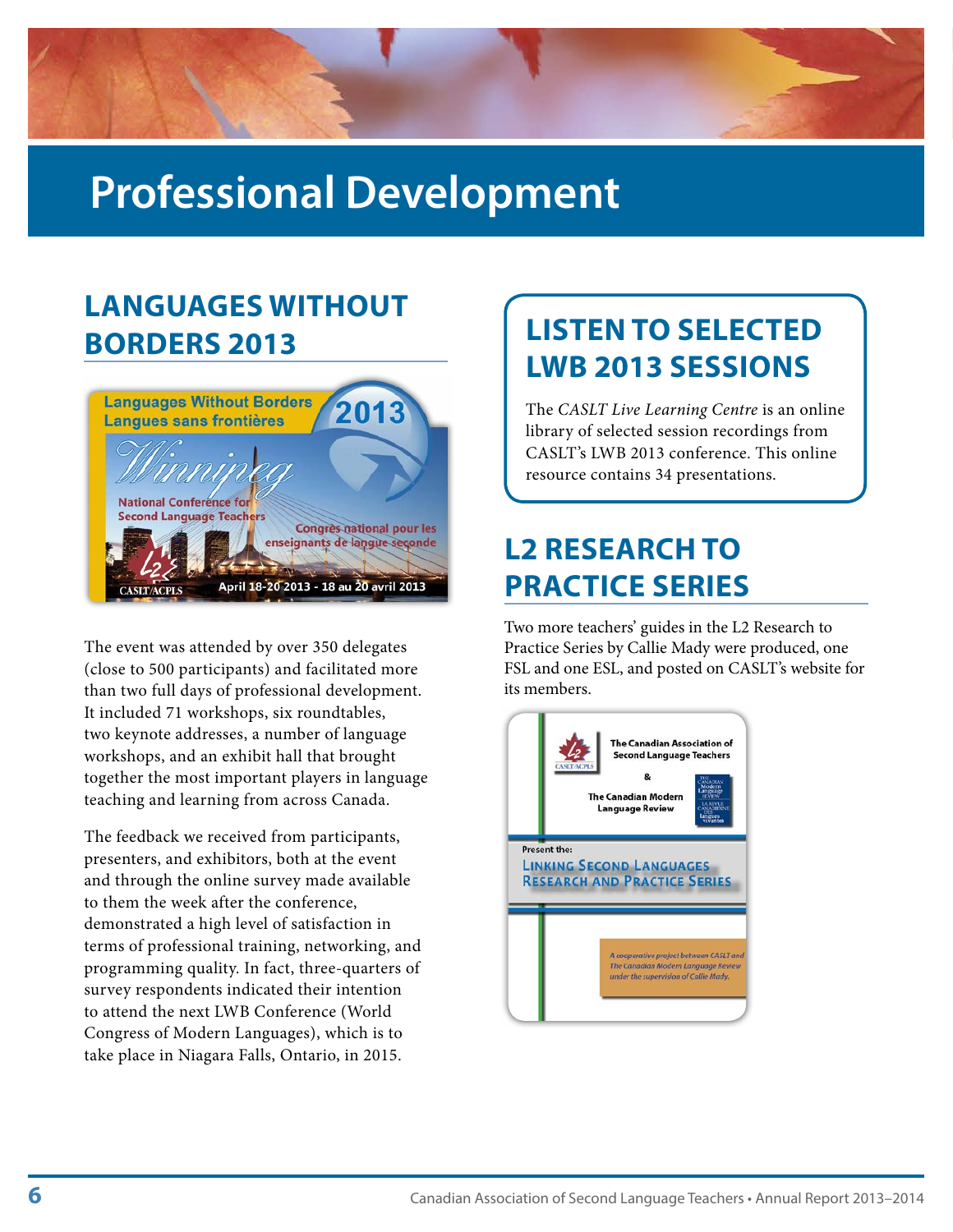# <span id="page-7-0"></span>**Professional Development**

### **LANGUAGES WITHOUT BORDERS 2013**



The event was attended by over 350 delegates (close to 500 participants) and facilitated more than two full days of professional development. It included 71 workshops, six roundtables, two keynote addresses, a number of language workshops, and an exhibit hall that brought together the most important players in language teaching and learning from across Canada.

The feedback we received from participants, presenters, and exhibitors, both at the event and through the online survey made available to them the week after the conference, demonstrated a high level of satisfaction in terms of professional training, networking, and programming quality. In fact, three-quarters of survey respondents indicated their intention to attend the next LWB Conference (World Congress of Modern Languages), which is to take place in Niagara Falls, Ontario, in 2015.

### **LISTEN TO SELECTED LWB 2013 SESSIONS**

The *CASLT Live Learning Centre* is an online library of selected session recordings from CASLT's LWB 2013 conference. This online resource contains 34 presentations.

### **L2 RESEARCH TO PRACTICE SERIES**

Two more teachers' guides in the L2 Research to Practice Series by Callie Mady were produced, one FSL and one ESL, and posted on CASLT's website for its members.

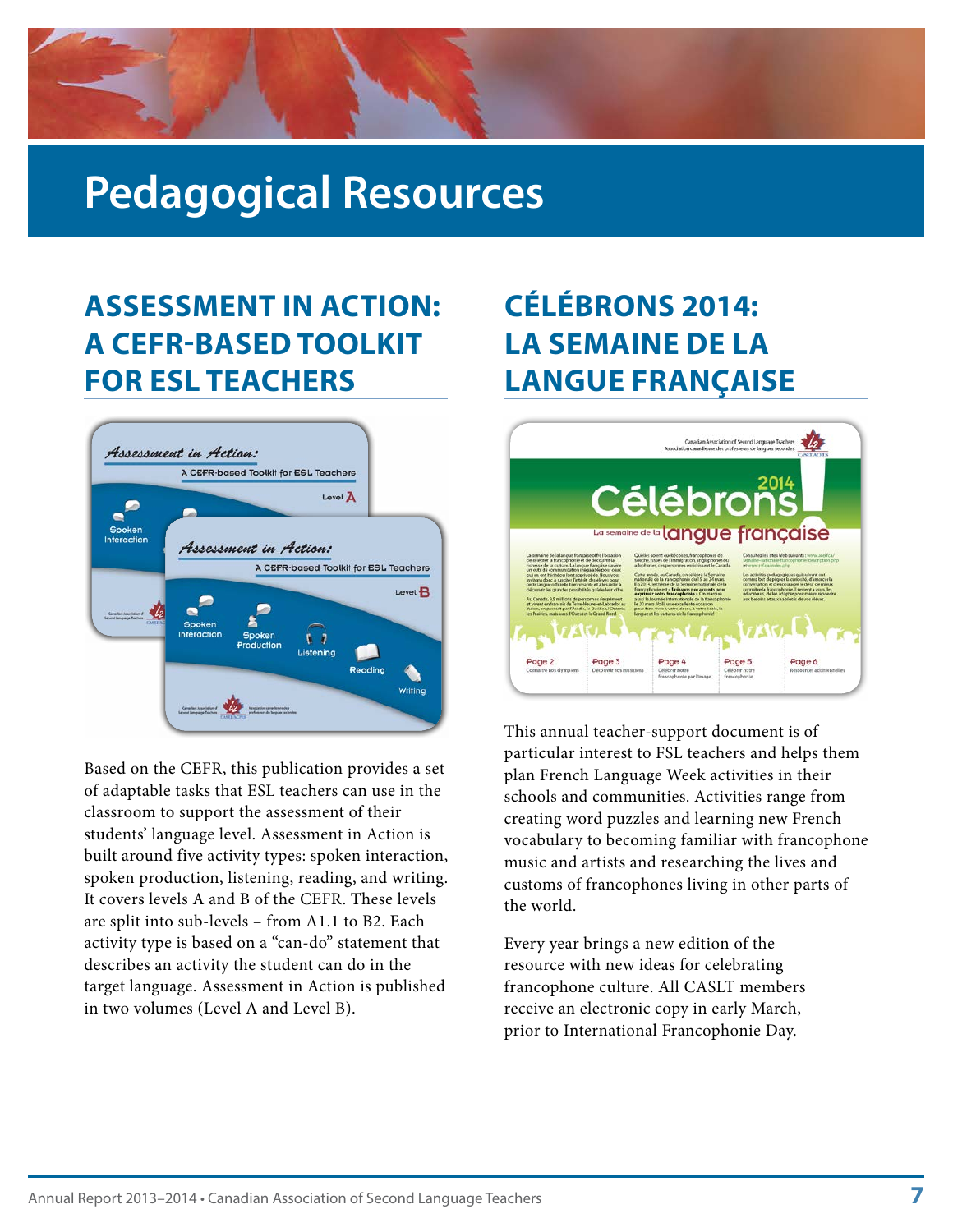### <span id="page-8-0"></span>**Pedagogical Resources**

### **ASSESSMENT IN ACTION: A CEFR-BASED TOOLKIT FOR ESL TEACHERS**



Based on the CEFR, this publication provides a set of adaptable tasks that ESL teachers can use in the classroom to support the assessment of their students' language level. Assessment in Action is built around five activity types: spoken interaction, spoken production, listening, reading, and writing. It covers levels A and B of the CEFR. These levels are split into sub-levels – from A1.1 to B2. Each activity type is based on a "can-do" statement that describes an activity the student can do in the target language. Assessment in Action is published in two volumes (Level A and Level B).

### **CÉLÉBRONS 2014: LA SEMAINE DE LA LANGUE FRANÇAISE**



This annual teacher-support document is of particular interest to FSL teachers and helps them plan French Language Week activities in their schools and communities. Activities range from creating word puzzles and learning new French vocabulary to becoming familiar with francophone music and artists and researching the lives and customs of francophones living in other parts of the world.

Every year brings a new edition of the resource with new ideas for celebrating francophone culture. All CASLT members receive an electronic copy in early March, prior to International Francophonie Day.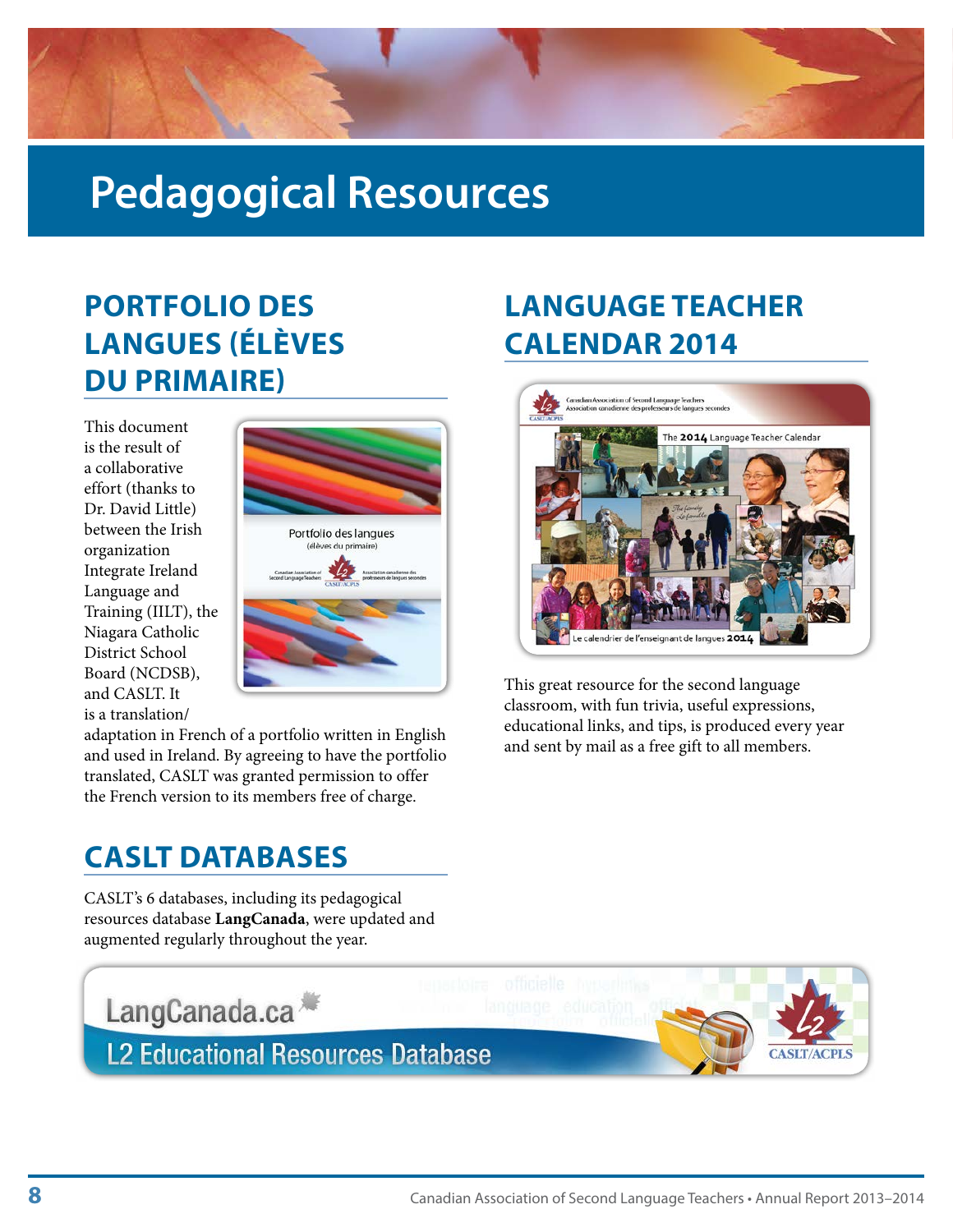<span id="page-9-0"></span>

### **Pedagogical Resources**

### **PORTFOLIO DES LANGUES (ÉLÈVES DU PRIMAIRE)**

This document is the result of a collaborative effort (thanks to Dr. David Little) between the Irish organization Integrate Ireland Language and Training (IILT), the Niagara Catholic District School Board (NCDSB), and CASLT. It is a translation/



adaptation in French of a portfolio written in English and used in Ireland. By agreeing to have the portfolio translated, CASLT was granted permission to offer the French version to its members free of charge.

#### **CASLT DATABASES**

LangCanada.ca

CASLT's 6 databases, including its pedagogical resources database **LangCanada**, were updated and augmented regularly throughout the year.

### **LANGUAGE TEACHER CALENDAR 2014**



This great resource for the second language classroom, with fun trivia, useful expressions, educational links, and tips, is produced every year and sent by mail as a free gift to all members.

**L2 Educational Resources Database**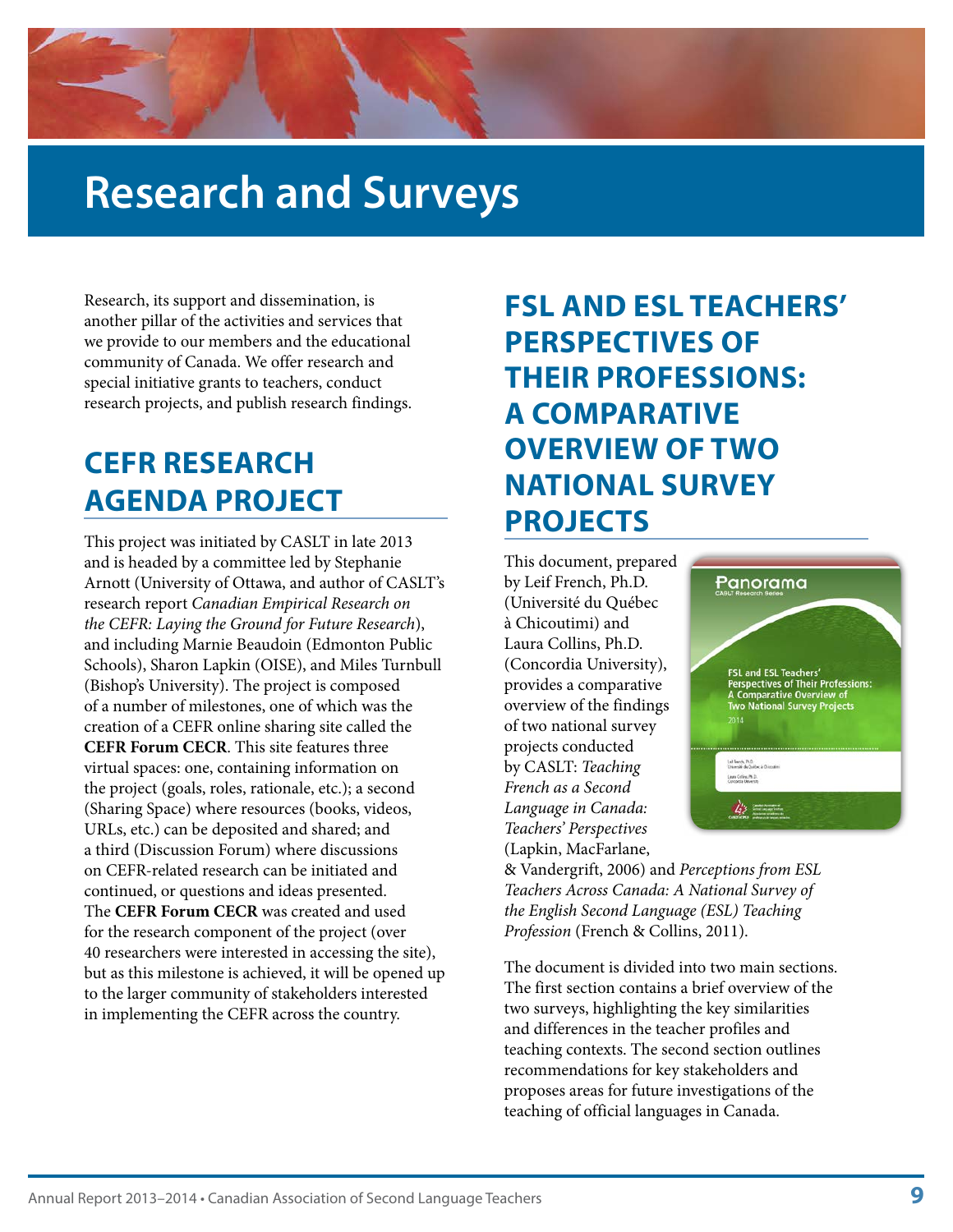### <span id="page-10-0"></span>**Research and Surveys**

Research, its support and dissemination, is another pillar of the activities and services that we provide to our members and the educational community of Canada. We offer research and special initiative grants to teachers, conduct research projects, and publish research findings.

### **CEFR RESEARCH AGENDA PROJECT**

This project was initiated by CASLT in late 2013 and is headed by a committee led by Stephanie Arnott (University of Ottawa, and author of CASLT's research report *Canadian Empirical Research on the CEFR: Laying the Ground for Future Research*), and including Marnie Beaudoin (Edmonton Public Schools), Sharon Lapkin (OISE), and Miles Turnbull (Bishop's University). The project is composed of a number of milestones, one of which was the creation of a CEFR online sharing site called the **CEFR Forum CECR**. This site features three virtual spaces: one, containing information on the project (goals, roles, rationale, etc.); a second (Sharing Space) where resources (books, videos, URLs, etc.) can be deposited and shared; and a third (Discussion Forum) where discussions on CEFR-related research can be initiated and continued, or questions and ideas presented. The **CEFR Forum CECR** was created and used for the research component of the project (over 40 researchers were interested in accessing the site), but as this milestone is achieved, it will be opened up to the larger community of stakeholders interested in implementing the CEFR across the country.

### **FSL AND ESL TEACHERS' PERSPECTIVES OF THEIR PROFESSIONS: A COMPARATIVE OVERVIEW OF TWO NATIONAL SURVEY PROJECTS**

This document, prepared by Leif French, Ph.D. (Université du Québec à Chicoutimi) and Laura Collins, Ph.D. (Concordia University), provides a comparative overview of the findings of two national survey projects conducted by CASLT: *Teaching French as a Second Language in Canada: Teachers' Perspectives*  (Lapkin, MacFarlane,



& Vandergrift, 2006) and *Perceptions from ESL Teachers Across Canada: A National Survey of the English Second Language (ESL) Teaching Profession* (French & Collins, 2011).

The document is divided into two main sections. The first section contains a brief overview of the two surveys, highlighting the key similarities and differences in the teacher profiles and teaching contexts. The second section outlines recommendations for key stakeholders and proposes areas for future investigations of the teaching of official languages in Canada.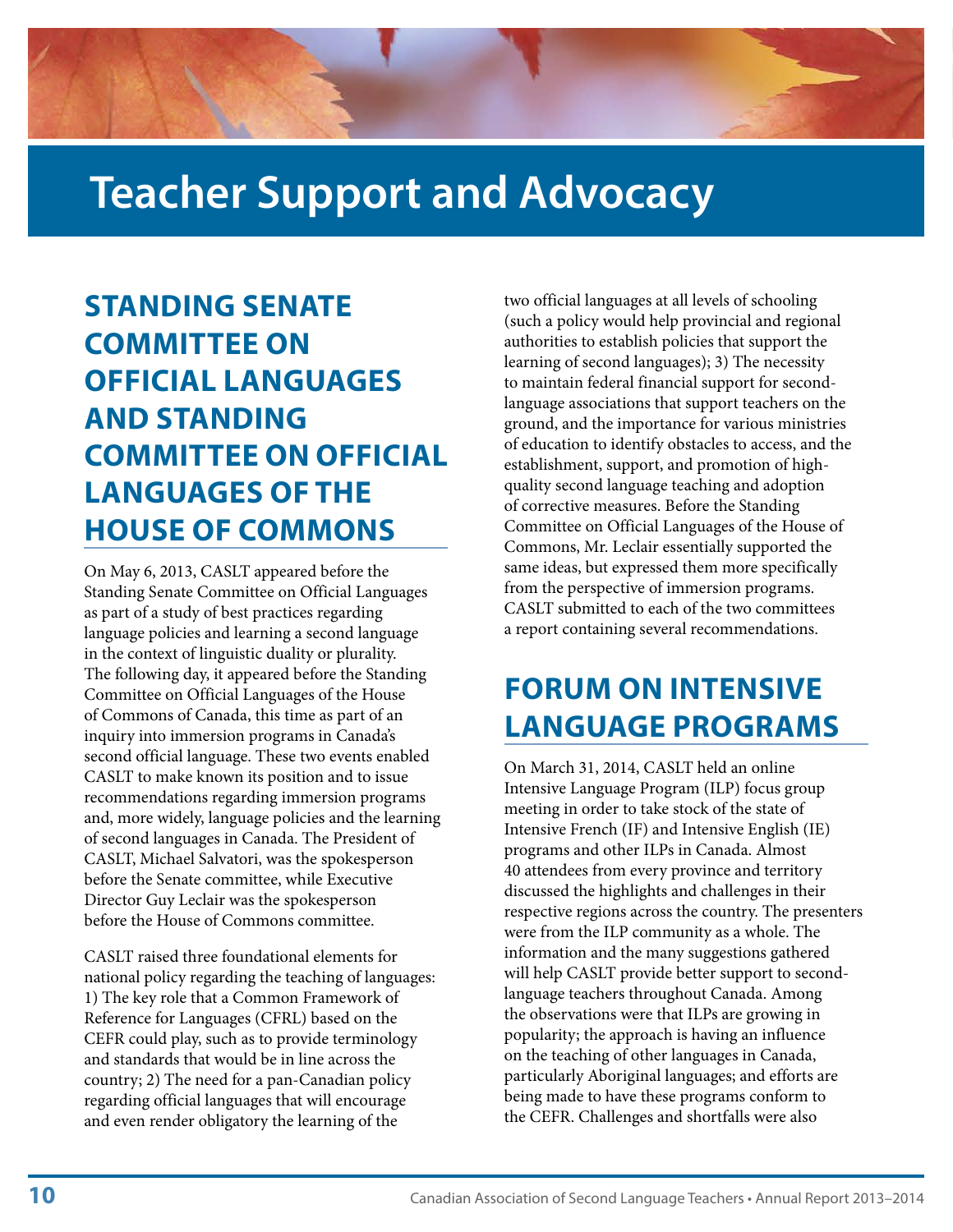### <span id="page-11-0"></span>**Teacher Support and Advocacy**

### **STANDING SENATE COMMITTEE ON OFFICIAL LANGUAGES AND STANDING COMMITTEE ON OFFICIAL LANGUAGES OF THE HOUSE OF COMMONS**

On May 6, 2013, CASLT appeared before the Standing Senate Committee on Official Languages as part of a study of best practices regarding language policies and learning a second language in the context of linguistic duality or plurality. The following day, it appeared before the Standing Committee on Official Languages of the House of Commons of Canada, this time as part of an inquiry into immersion programs in Canada's second official language. These two events enabled CASLT to make known its position and to issue recommendations regarding immersion programs and, more widely, language policies and the learning of second languages in Canada. The President of CASLT, Michael Salvatori, was the spokesperson before the Senate committee, while Executive Director Guy Leclair was the spokesperson before the House of Commons committee.

CASLT raised three foundational elements for national policy regarding the teaching of languages: 1) The key role that a Common Framework of Reference for Languages (CFRL) based on the CEFR could play, such as to provide terminology and standards that would be in line across the country; 2) The need for a pan-Canadian policy regarding official languages that will encourage and even render obligatory the learning of the

two official languages at all levels of schooling (such a policy would help provincial and regional authorities to establish policies that support the learning of second languages); 3) The necessity to maintain federal financial support for secondlanguage associations that support teachers on the ground, and the importance for various ministries of education to identify obstacles to access, and the establishment, support, and promotion of highquality second language teaching and adoption of corrective measures. Before the Standing Committee on Official Languages of the House of Commons, Mr. Leclair essentially supported the same ideas, but expressed them more specifically from the perspective of immersion programs. CASLT submitted to each of the two committees a report containing several recommendations.

### **FORUM ON INTENSIVE LANGUAGE PROGRAMS**

On March 31, 2014, CASLT held an online Intensive Language Program (ILP) focus group meeting in order to take stock of the state of Intensive French (IF) and Intensive English (IE) programs and other ILPs in Canada. Almost 40 attendees from every province and territory discussed the highlights and challenges in their respective regions across the country. The presenters were from the ILP community as a whole. The information and the many suggestions gathered will help CASLT provide better support to secondlanguage teachers throughout Canada. Among the observations were that ILPs are growing in popularity; the approach is having an influence on the teaching of other languages in Canada, particularly Aboriginal languages; and efforts are being made to have these programs conform to the CEFR. Challenges and shortfalls were also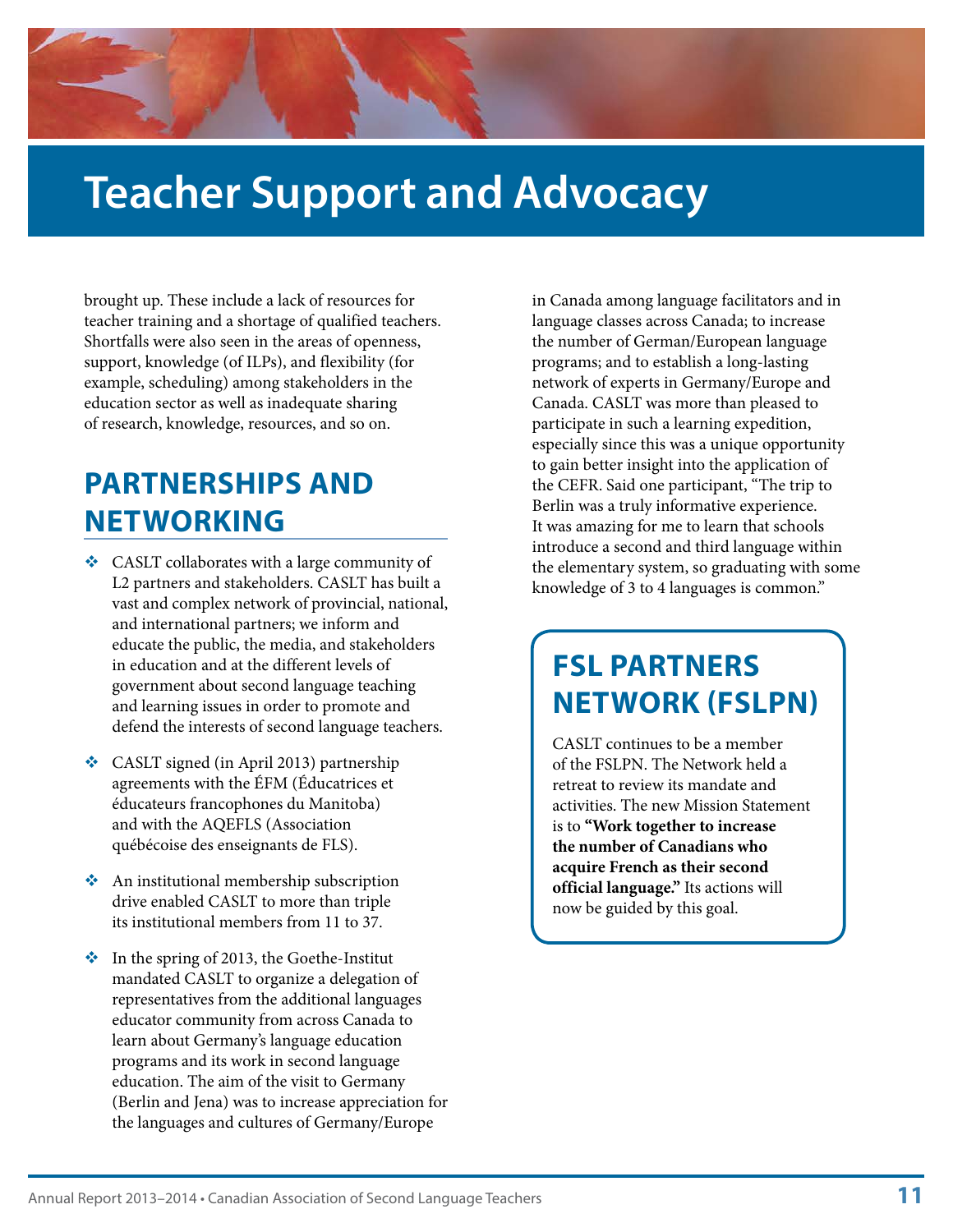### <span id="page-12-0"></span>**Teacher Support and Advocacy**

brought up. These include a lack of resources for teacher training and a shortage of qualified teachers. Shortfalls were also seen in the areas of openness, support, knowledge (of ILPs), and flexibility (for example, scheduling) among stakeholders in the education sector as well as inadequate sharing of research, knowledge, resources, and so on.

### **PARTNERSHIPS AND NETWORKING**

- CASLT collaborates with a large community of L2 partners and stakeholders. CASLT has built a vast and complex network of provincial, national, and international partners; we inform and educate the public, the media, and stakeholders in education and at the different levels of government about second language teaching and learning issues in order to promote and defend the interests of second language teachers.
- CASLT signed (in April 2013) partnership agreements with the ÉFM (Éducatrices et éducateurs francophones du Manitoba) and with the AQEFLS (Association québécoise des enseignants de FLS).
- An institutional membership subscription drive enabled CASLT to more than triple its institutional members from 11 to 37.
- $\cdot \cdot$  In the spring of 2013, the Goethe-Institut mandated CASLT to organize a delegation of representatives from the additional languages educator community from across Canada to learn about Germany's language education programs and its work in second language education. The aim of the visit to Germany (Berlin and Jena) was to increase appreciation for the languages and cultures of Germany/Europe

in Canada among language facilitators and in language classes across Canada; to increase the number of German/European language programs; and to establish a long-lasting network of experts in Germany/Europe and Canada. CASLT was more than pleased to participate in such a learning expedition, especially since this was a unique opportunity to gain better insight into the application of the CEFR. Said one participant, "The trip to Berlin was a truly informative experience. It was amazing for me to learn that schools introduce a second and third language within the elementary system, so graduating with some knowledge of 3 to 4 languages is common."

### **FSL PARTNERS NETWORK (FSLPN)**

CASLT continues to be a member of the FSLPN. The Network held a retreat to review its mandate and activities. The new Mission Statement is to **"Work together to increase the number of Canadians who acquire French as their second official language."** Its actions will now be guided by this goal.